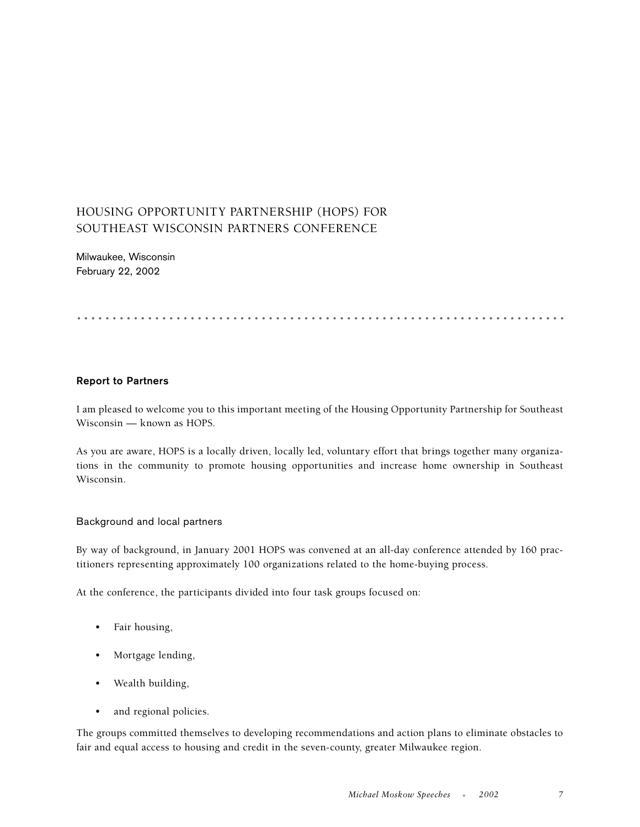# HOUSING OPPORTUNITY PARTNERSHIP (HOPS) FOR SOUTHEAST WISCONSIN PARTNERS CONFERENCE

Milwaukee, Wisconsin February 22, 2002

.....................................................................

### **Report to Partners**

I am pleased to welcome you to this important meeting of the Housing Opportunity Partnership for Southeast Wisconsin — known as HOPS.

As you are aware, HOPS is a locally driven, locally led, voluntary effort that brings together many organizations in the community to promote housing opportunities and increase home ownership in Southeast Wisconsin.

### Background and local partners

By way of background, in January 2001 HOPS was convened at an all-day conference attended by 160 practitioners representing approximately 100 organizations related to the home-buying process.

At the conference, the participants divided into four task groups focused on:

- Fair housing,
- Mortgage lending,
- Wealth building,
- and regional policies.

The groups committed themselves to developing recommendations and action plans to eliminate obstacles to fair and equal access to housing and credit in the seven-county, greater Milwaukee region.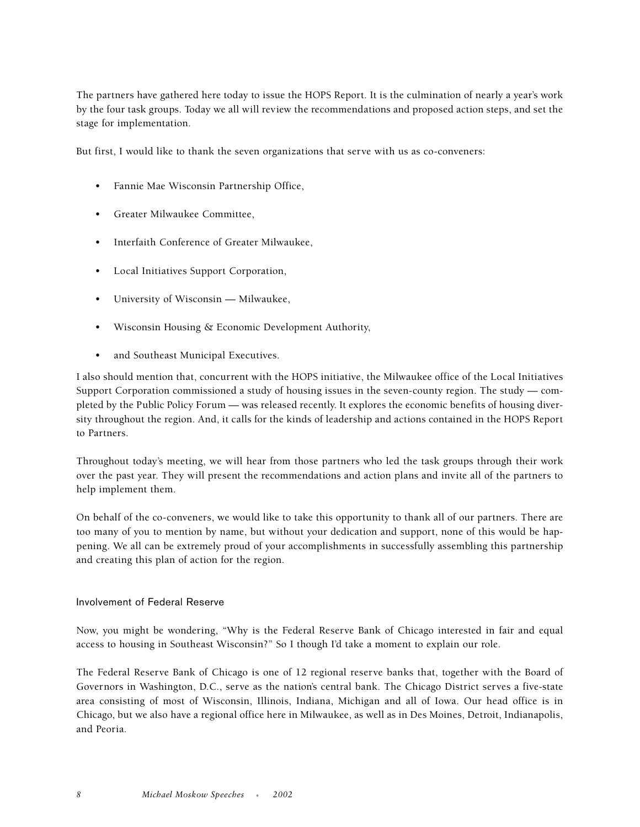The partners have gathered here today to issue the HOPS Report. It is the culmination of nearly a year's work by the four task groups. Today we all will review the recommendations and proposed action steps, and set the stage for implementation.

But first, I would like to thank the seven organizations that serve with us as co-conveners:

- Fannie Mae Wisconsin Partnership Office,
- Greater Milwaukee Committee,
- Interfaith Conference of Greater Milwaukee,
- Local Initiatives Support Corporation,
- University of Wisconsin Milwaukee,
- Wisconsin Housing & Economic Development Authority,
- and Southeast Municipal Executives.

I also should mention that, concurrent with the HOPS initiative, the Milwaukee office of the Local Initiatives Support Corporation commissioned a study of housing issues in the seven-county region. The study — completed by the Public Policy Forum — was released recently. It explores the economic benefits of housing diversity throughout the region. And, it calls for the kinds of leadership and actions contained in the HOPS Report to Partners.

Throughout today's meeting, we will hear from those partners who led the task groups through their work over the past year. They will present the recommendations and action plans and invite all of the partners to help implement them.

On behalf of the co-conveners, we would like to take this opportunity to thank all of our partners. There are too many of you to mention by name, but without your dedication and support, none of this would be happening. We all can be extremely proud of your accomplishments in successfully assembling this partnership and creating this plan of action for the region.

### Involvement of Federal Reserve

Now, you might be wondering, "Why is the Federal Reserve Bank of Chicago interested in fair and equal access to housing in Southeast Wisconsin?" So I though I'd take a moment to explain our role.

The Federal Reserve Bank of Chicago is one of 12 regional reserve banks that, together with the Board of Governors in Washington, D.C., serve as the nation's central bank. The Chicago District serves a five-state area consisting of most of Wisconsin, Illinois, Indiana, Michigan and all of Iowa. Our head office is in Chicago, but we also have a regional office here in Milwaukee, as well as in Des Moines, Detroit, Indianapolis, and Peoria.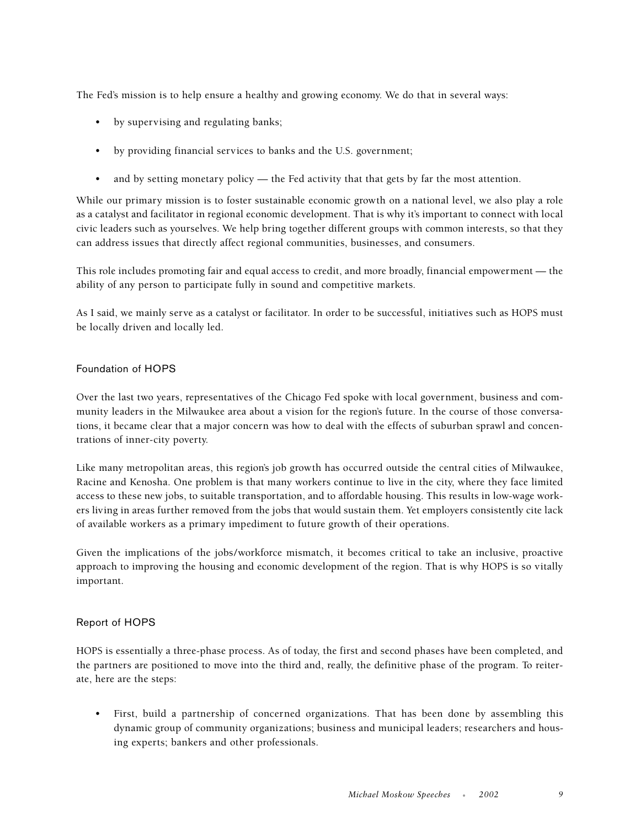The Fed's mission is to help ensure a healthy and growing economy. We do that in several ways:

- by supervising and regulating banks;
- by providing financial services to banks and the U.S. government;
- and by setting monetary policy the Fed activity that that gets by far the most attention.

While our primary mission is to foster sustainable economic growth on a national level, we also play a role as a catalyst and facilitator in regional economic development. That is why it's important to connect with local civic leaders such as yourselves. We help bring together different groups with common interests, so that they can address issues that directly affect regional communities, businesses, and consumers.

This role includes promoting fair and equal access to credit, and more broadly, financial empowerment — the ability of any person to participate fully in sound and competitive markets.

As I said, we mainly serve as a catalyst or facilitator. In order to be successful, initiatives such as HOPS must be locally driven and locally led.

### Foundation of HOPS

Over the last two years, representatives of the Chicago Fed spoke with local government, business and community leaders in the Milwaukee area about a vision for the region's future. In the course of those conversations, it became clear that a major concern was how to deal with the effects of suburban sprawl and concentrations of inner-city poverty.

Like many metropolitan areas, this region's job growth has occurred outside the central cities of Milwaukee, Racine and Kenosha. One problem is that many workers continue to live in the city, where they face limited access to these new jobs, to suitable transportation, and to affordable housing. This results in low-wage workers living in areas further removed from the jobs that would sustain them. Yet employers consistently cite lack of available workers as a primary impediment to future growth of their operations.

Given the implications of the jobs/workforce mismatch, it becomes critical to take an inclusive, proactive approach to improving the housing and economic development of the region. That is why HOPS is so vitally important.

#### Report of HOPS

HOPS is essentially a three-phase process. As of today, the first and second phases have been completed, and the partners are positioned to move into the third and, really, the definitive phase of the program. To reiterate, here are the steps:

• First, build a partnership of concerned organizations. That has been done by assembling this dynamic group of community organizations; business and municipal leaders; researchers and housing experts; bankers and other professionals.